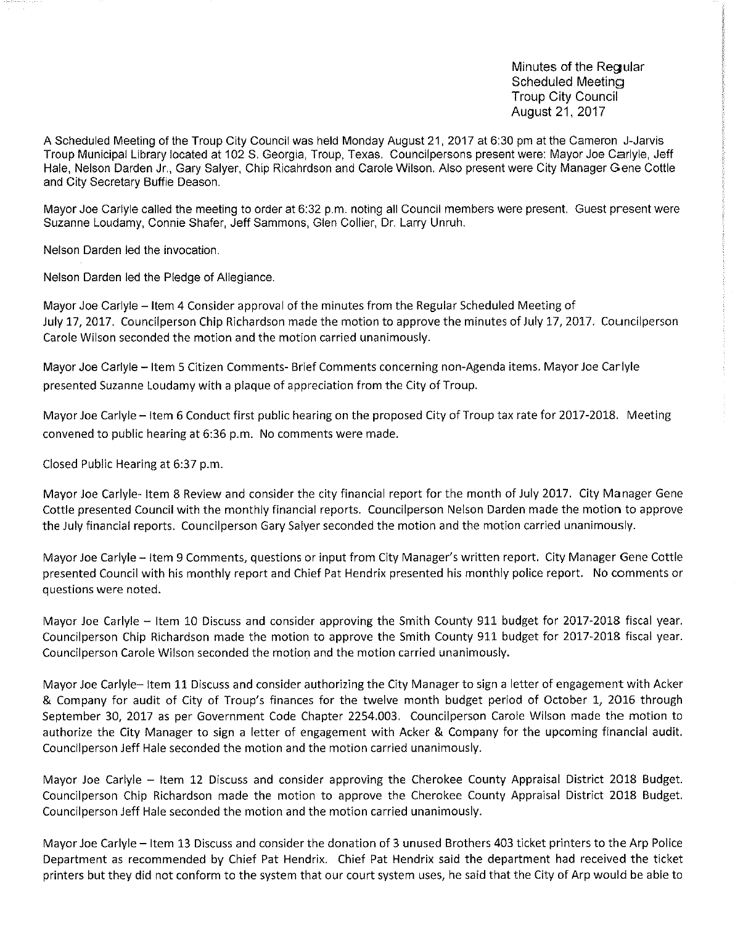Minutes of the Requilar Scheduled Meeting Troup City Council August 21, 2017

A Scheduled Meeting of the Troup City Council was held Monday August 21, 2017 at 6:30 pm at the Cameron J-Jarvis Troup Municipal Library located at 102 S. Georgia, Troup, Texas. Councilpersons present were: Mayor Joe Carlyle, Jeff Hale, Nelson Darden Jr., Gary Salyer, Chip Ricahrdson and Carole Wilson. Also present were City Manager Gene Cottle and City Secretary Buffie Deason.

Mayor Joe Carlyle called the meeting to order at 6:32 p.m. noting all Council members were present. Guest present were Suzanne Loudamy, Connie Shafer, Jeff Sammons, Glen Collier, Dr. Larry Unruh.

Nelson Darden led the invocation.

Nelson Darden led the Pledge of Allegiance

Mayor Joe Carlyle — Item 4 Consider approval of the minutes from the Regular Scheduled Meeting of July 17, 2017. Councilperson Chip Richardson made the motion to approve the minutes of July 17, 2017. Councilperson Carole Wilson seconded the motion and the motion carried unanimously.

Mayor Joe Carlyle — Item 5 Citizen Comments- Brief Comments concerning non-Agenda items. Mayor Joe Carlyle presented Suzanne Loudamy with a plaque of appreciation from the City of Troup.

Mayor Joe Carlyle — Item 6 Conduct first public hearing on the proposed City of Troup tax rate for 2017-2018. Meeting convened to public hearing at 6:36 p.m. No comments were made.

Closed Public Hearing at 6:37 p.m.

Mayor Joe Carlyle- Item 8 Review and consider the city financial report for the month of July 2017. City Manager Gene Cottle presented Council with the monthly financial reports. Councilperson Nelson Darden made the motion to approve the July financial reports. Councilperson Gary Salyer seconded the motion and the motion carried unanimously.

Mayor Joe Carlyle — Item 9 Comments, questions or input from City Manager's written report. City Manager Gene Cottle presented Council with his monthly report and Chief Pat Hendrix presented his monthly police report. No comments or questions were noted.

Mayor Joe Carlyle — Item 10 Discuss and consider approving the Smith County 911 budget for 2017-2018 fiscal year. Councilperson Chip Richardson made the motion to approve the Smith County 911 budget for 2017-2018 fiscal year. Councilperson Carole Wilson seconded the motion and the motion carried unanimously.

Mayor Joe Carlyle— Item 11 Discuss and consider authorizing the City Manager to sign a letter of engagement with Acker & Company for audit of City of Troup's finances for the twelve month budget period of October 1, 2016 through September 30, 2017 as per Government Code Chapter 2254.003. Councilperson Carole Wilson made the motion to authorize the City Manager to sign a letter of engagement with Acker & Company for the upcoming financial audit. Councilperson Jeff Hale seconded the motion and the motion carried unanimously.

Mayor Joe Carlyle — Item 12 Discuss and consider approving the Cherokee County Appraisal District 2018 Budget. Councilperson Chip Richardson made the motion to approve the Cherokee County Appraisal District 2018 Budget. Councilperson Jeff Hale seconded the motion and the motion carried unanimously.

Mayor Joe Carlyle — Item 13 Discuss and consider the donation of 3 unused Brothers 403 ticket printers to the Arp Police Department as recommended by Chief Pat Hendrix. Chief Pat Hendrix said the department had received the ticket printers but they did not conform to the system that our court system uses, he said that the City of Arp would be able to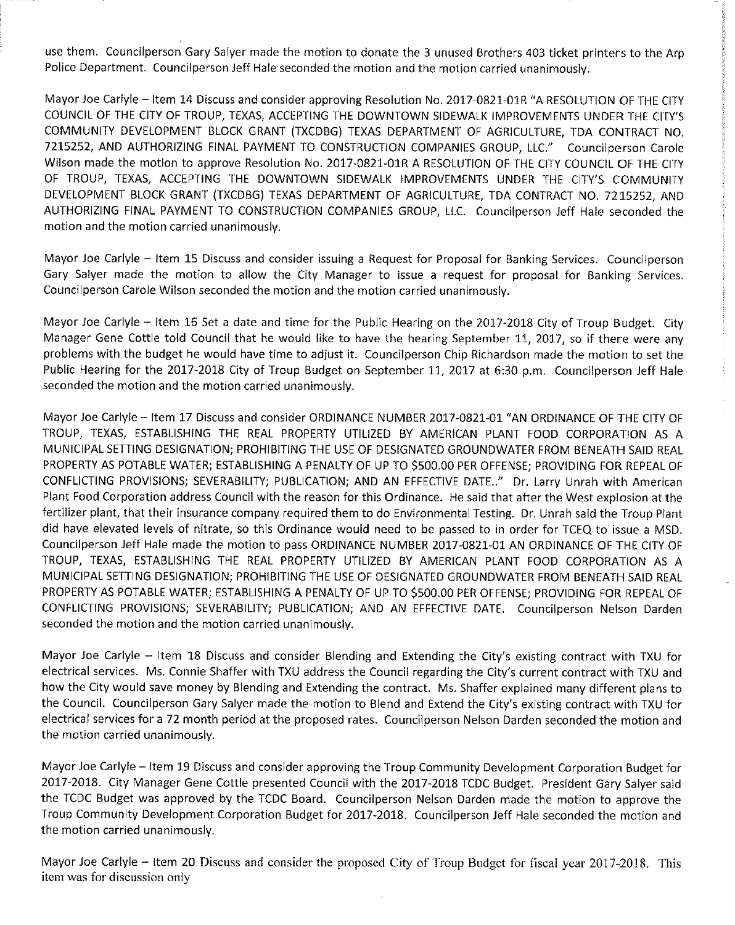use them. Councilperson Gary Salyer made the motion to donate the 3 unused Brothers 403 ticket printers to the Arp Police Department. Councilperson Jeff Hale seconded the motion and the motion carried unanimously.

Mayor Joe Carlyle — Item 14 Discuss and consider approving Resolution No. 2017-0821-01R "A RESOLUTION OF THE CITY COUNCIL OF THE CITY OF TROUP, TEXAS, ACCEPTING THE DOWNTOWN SIDEWALK IMPROVEMENTS UNDER THE CITY'S COMMUNITY DEVELOPMENT BLOCK GRANT (TXCDBG) TEXAS DEPARTMENT OF AGRICULTURE, TDA CONTRACT NO. 7215252, AND AUTHORIZING FINAL PAYMENT TO CONSTRUCTION COMPANIES GROUP, LLC." Councilperson Carole Wilson made the motion to approve Resolution No. 2017-0821-01R A RESOLUTION OF THE CITY COUNCIL OF THE CITY OF TROUP, TEXAS, ACCEPTING THE DOWNTOWN SIDEWALK IMPROVEMENTS UNDER THE CITY'S COMMUNITY DEVELOPMENT BLOCK GRANT (TXCDBG) TEXAS DEPARTMENT OF AGRICULTURE, TDA CONTRACT NO. 7215252, AND AUTHORIZING FINAL PAYMENT TO CONSTRUCTION COMPANIES GROUP, LLC. Councilperson Jeff Hale seconded the motion and the motion carried unanimously.

Mayor Joe Carlyle — Item 15 Discuss and consider issuing a Request for Proposal for Banking Services. Councilperson Gary Salyer made the motion to allow the City Manager to issue a request for proposal for Banking Services. Councilperson Carole Wilson seconded the motion and the motion carried unanimously.

Mayor Joe Carlyle — Item 16 Set a date and time for the Public Hearing on the 2017-2018 City of Troup Budget. City Manager Gene Cottle told Council that he would like to have the hearing September 11, 2017, so if there were any problems with the budget he would have time to adjust it. Councilperson Chip Richardson made the motion to set the Public Hearing for the 2017-2018 City of Troup Budget on September 11, 2017 at 6:30 p.m. Councilperson Jeff Hale seconded the motion and the motion carried unanimously.

Mayor Joe Carlyle — Item 17 Discuss and consider ORDINANCE NUMBER 2017-0821-01 "AN ORDINANCE OF THE CITY OF TROUP, TEXAS, ESTABLISHING THE REAL PROPERTY UTILIZED BY AMERICAN PLANT FOOD CORPORATION AS A MUNICIPAL SETTING DESIGNATION; PROHIBITING THE USE OF DESIGNATED GROUNDWATER FROM BENEATH SAID REAL PROPERTY AS POTABLE WATER; ESTABLISHING A PENALTY OF UP TO \$500.00 PER OFFENSE; PROVIDING FOR REPEAL OF CONFLICTING PROVISIONS; SEVERABILITY; PUBLICATION; AND AN EFFECTIVE DATE.." Dr. Larry Unrah with American Plant Food Corporation address Council with the reason for this Ordinance. He said that after the West explosion at the fertilizer plant, that their insurance company required them to do Environmental Testing. Dr. Unrah said the Troup Plant did have elevated levels of nitrate, so this Ordinance would need to be passed to in order for TCEQ to issue a MSD. Councilperson Jeff Hale made the motion to pass ORDINANCE NUMBER 2017-0821-01 AN ORDINANCE OF THE CITY OF TROUP, TEXAS, ESTABLISHING THE REAL PROPERTY UTILIZED BY AMERICAN PLANT FOOD CORPORATION AS A MUNICIPAL SETTING DESIGNATION; PROHIBITING THE USE OF DESIGNATED GROUNDWATER FROM BENEATH SAID REAL PROPERTY AS POTABLE WATER; ESTABLISHING A PENALTY OF UP TO \$500.00 PER OFFENSE; PROVIDING FOR REPEAL OF CONFLICTING PROVISIONS; SEVERABILITY; PUBLICATION; AND AN EFFECTIVE DATE. Councilperson Nelson Darden seconded the motion and the motion carried unanimously.

Mayor Joe Carlyle — Item 18 Discuss and consider Blending and Extending the City's existing contract with TXU for electrical services. Ms. Connie Shaffer with TXU address the Council regarding the City's current contract with TXU and how the City would save money by Blending and Extending the contract. Ms. Shaffer explained many different plans to the Council. Councilperson Gary Salyer made the motion to Blend and Extend the City's existing contract with TXU for electrical services for a 72 month period at the proposed rates. Councilperson Nelson Darden seconded the motion and the motion carried unanimously.

Mayor Joe Carlyle — Item 19 Discuss and consider approving the Troup Community Development Corporation Budget for 2017-2018. City Manager Gene Cottle presented Council with the 2017-2018 TCDC Budget. President Gary Salyer said the TCDC Budget was approved by the TCDC Board. Councilperson Nelson Darden made the motion to approve the Troup Community Development Corporation Budget for 2017-2018. Councilperson Jeff Hale seconded the motion and the motion carried unanimously.

Mayor Joe Carlyle — Item 20 Discuss and consider the proposed City of Troup Budget for fiscal year 2017-2018. This item was for discussion only